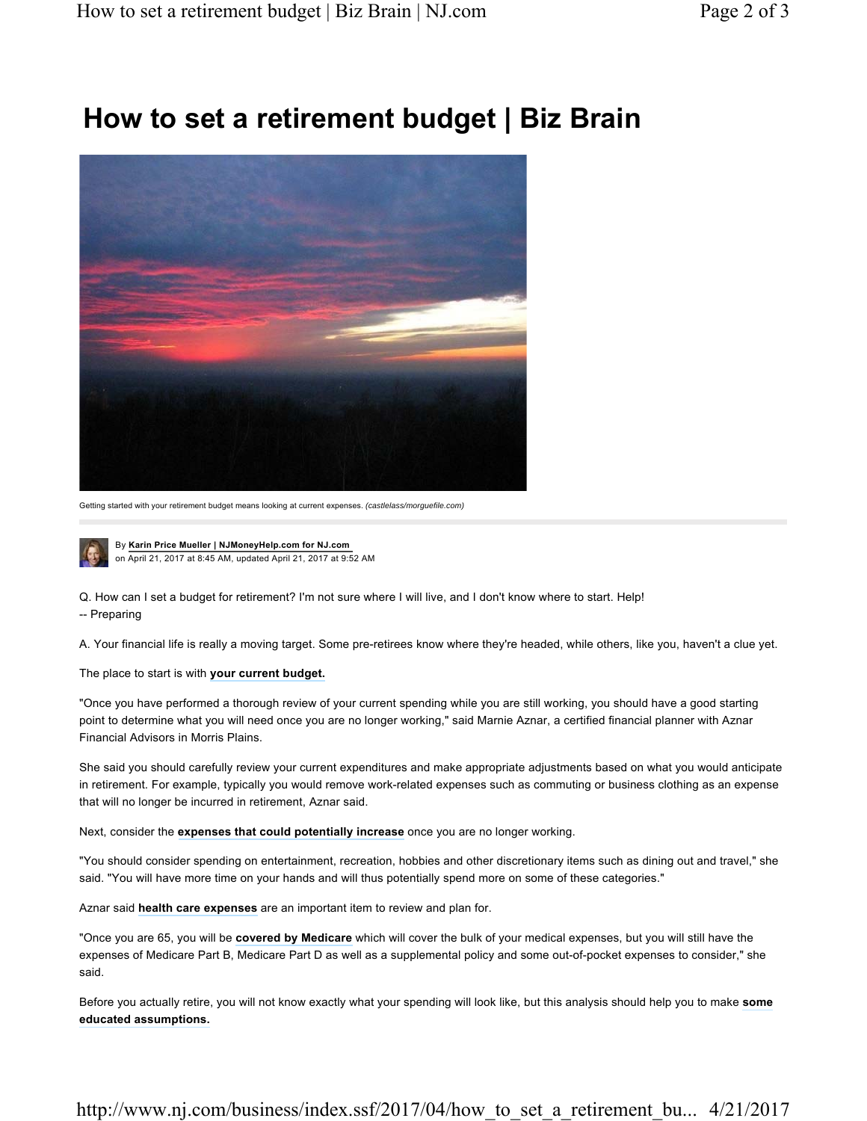## **How to set a retirement budget | Biz Brain**



Getting started with your retirement budget means looking at current expenses. *(castlelass/morguefile.com)*



By **Karin Price Mueller | NJMoneyHelp.com for NJ.com**  on April 21, 2017 at 8:45 AM, updated April 21, 2017 at 9:52 AM

Q. How can I set a budget for retirement? I'm not sure where I will live, and I don't know where to start. Help! -- Preparing

A. Your financial life is really a moving target. Some pre-retirees know where they're headed, while others, like you, haven't a clue yet.

The place to start is with **your current budget.**

"Once you have performed a thorough review of your current spending while you are still working, you should have a good starting point to determine what you will need once you are no longer working," said Marnie Aznar, a certified financial planner with Aznar Financial Advisors in Morris Plains.

She said you should carefully review your current expenditures and make appropriate adjustments based on what you would anticipate in retirement. For example, typically you would remove work-related expenses such as commuting or business clothing as an expense that will no longer be incurred in retirement, Aznar said.

Next, consider the **expenses that could potentially increase** once you are no longer working.

"You should consider spending on entertainment, recreation, hobbies and other discretionary items such as dining out and travel," she said. "You will have more time on your hands and will thus potentially spend more on some of these categories."

Aznar said **health care expenses** are an important item to review and plan for.

"Once you are 65, you will be **covered by Medicare** which will cover the bulk of your medical expenses, but you will still have the expenses of Medicare Part B, Medicare Part D as well as a supplemental policy and some out-of-pocket expenses to consider," she said.

Before you actually retire, you will not know exactly what your spending will look like, but this analysis should help you to make **some educated assumptions.**